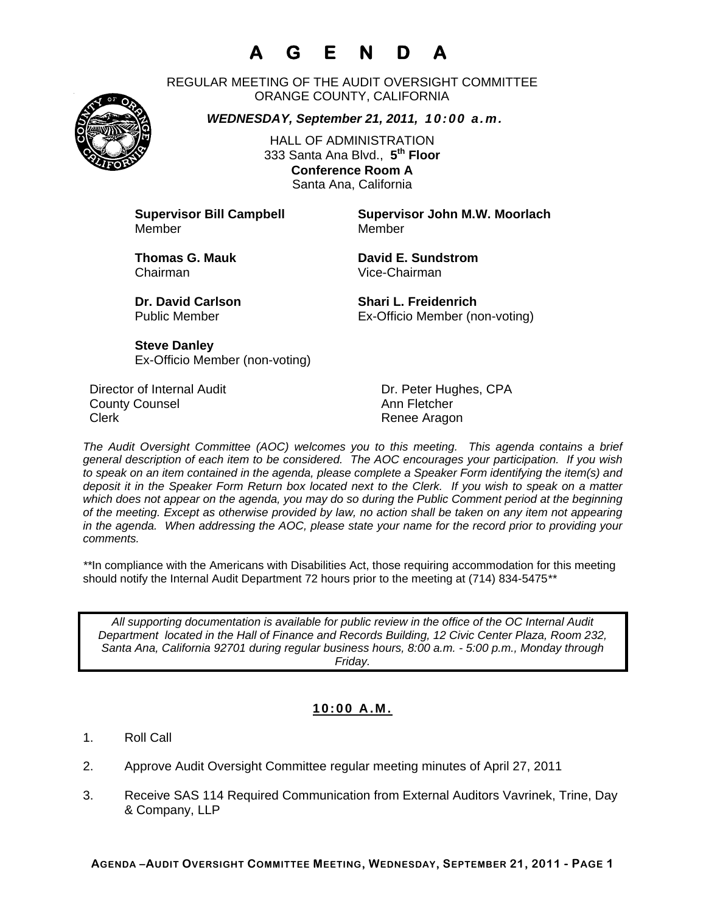# **A G E N D A**

REGULAR MEETING OF THE AUDIT OVERSIGHT COMMITTEE ORANGE COUNTY, CALIFORNIA

*WEDNESDAY, September 21, 2011, 10:00 a.m.*

HALL OF ADMINISTRATION 333 Santa Ana Blvd., **5th Floor Conference Room A**  Santa Ana, California

Member Member

**Supervisor Bill Campbell Supervisor John M.W. Moorlach**

Chairman Vice-Chairman

**Thomas G. Mauk David E. Sundstrom** 

**Dr. David Carlson Shari L. Freidenrich** Public Member Ex-Officio Member (non-voting)

**Steve Danley** Ex-Officio Member (non-voting)

Director of Internal Audit **Dr. Peter Hughes, CPA County Counsel Countillist County Counsel Ann Fletcher** Clerk **Clerk Renee Aragon** 

*The Audit Oversight Committee (AOC) welcomes you to this meeting. This agenda contains a brief general description of each item to be considered. The AOC encourages your participation. If you wish to speak on an item contained in the agenda, please complete a Speaker Form identifying the item(s) and deposit it in the Speaker Form Return box located next to the Clerk. If you wish to speak on a matter which does not appear on the agenda, you may do so during the Public Comment period at the beginning of the meeting. Except as otherwise provided by law, no action shall be taken on any item not appearing in the agenda. When addressing the AOC, please state your name for the record prior to providing your comments.* 

*\*\**In compliance with the Americans with Disabilities Act, those requiring accommodation for this meeting should notify the Internal Audit Department 72 hours prior to the meeting at (714) 834-5475*\*\** 

*All supporting documentation is available for public review in the office of the OC Internal Audit Department located in the Hall of Finance and Records Building, 12 Civic Center Plaza, Room 232, Santa Ana, California 92701 during regular business hours, 8:00 a.m. - 5:00 p.m., Monday through Friday.* 

### **10:00 A.M.**

- 1. Roll Call
- 2. Approve Audit Oversight Committee regular meeting minutes of April 27, 2011
- 3. Receive SAS 114 Required Communication from External Auditors Vavrinek, Trine, Day & Company, LLP